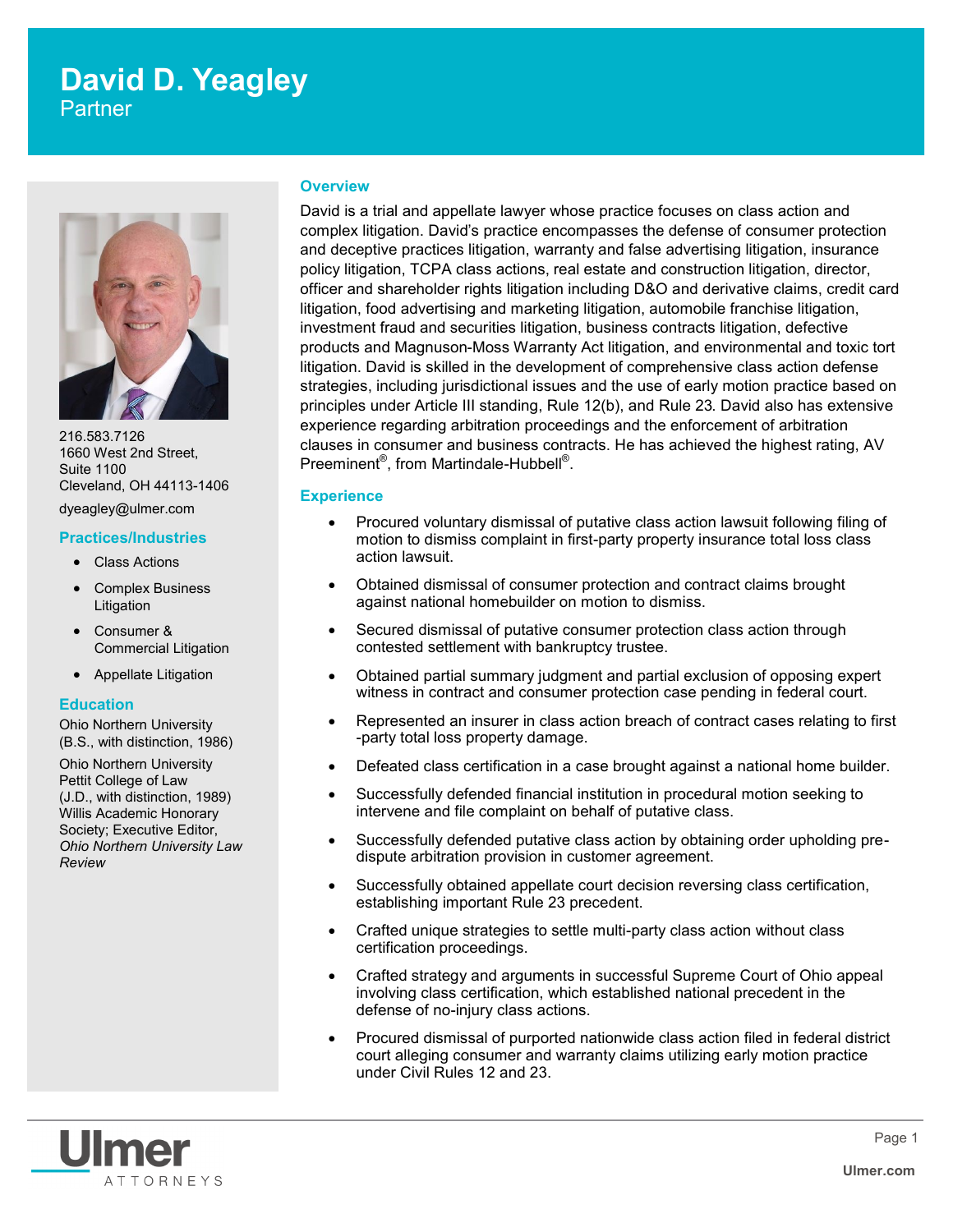# **David D. Yeagley**

**Partner** 



216.583.7126 1660 West 2nd Street, Suite 1100 Cleveland, OH 44113-1406

### dyeagley@ulmer.com **Practices/Industries**

- Class Actions
- Complex Business Litigation
- Consumer & Commercial Litigation
- Appellate Litigation

#### **Education**

Ohio Northern University (B.S., with distinction, 1986)

Ohio Northern University Pettit College of Law (J.D., with distinction, 1989) Willis Academic Honorary Society; Executive Editor, *Ohio Northern University Law Review*

#### **Overview**

David is a trial and appellate lawyer whose practice focuses on class action and complex litigation. David's practice encompasses the defense of consumer protection and deceptive practices litigation, warranty and false advertising litigation, insurance policy litigation, TCPA class actions, real estate and construction litigation, director, officer and shareholder rights litigation including D&O and derivative claims, credit card litigation, food advertising and marketing litigation, automobile franchise litigation, investment fraud and securities litigation, business contracts litigation, defective products and Magnuson-Moss Warranty Act litigation, and environmental and toxic tort litigation. David is skilled in the development of comprehensive class action defense strategies, including jurisdictional issues and the use of early motion practice based on principles under Article III standing, Rule 12(b), and Rule 23. David also has extensive experience regarding arbitration proceedings and the enforcement of arbitration clauses in consumer and business contracts. He has achieved the highest rating, AV Preeminent®, from Martindale-Hubbell®.

#### **Experience**

- Procured voluntary dismissal of putative class action lawsuit following filing of motion to dismiss complaint in first-party property insurance total loss class action lawsuit.
- Obtained dismissal of consumer protection and contract claims brought against national homebuilder on motion to dismiss.
- Secured dismissal of putative consumer protection class action through contested settlement with bankruptcy trustee.
- Obtained partial summary judgment and partial exclusion of opposing expert witness in contract and consumer protection case pending in federal court.
- Represented an insurer in class action breach of contract cases relating to first -party total loss property damage.
- Defeated class certification in a case brought against a national home builder.
- Successfully defended financial institution in procedural motion seeking to intervene and file complaint on behalf of putative class.
- Successfully defended putative class action by obtaining order upholding predispute arbitration provision in customer agreement.
- Successfully obtained appellate court decision reversing class certification, establishing important Rule 23 precedent.
- Crafted unique strategies to settle multi-party class action without class certification proceedings.
- Crafted strategy and arguments in successful Supreme Court of Ohio appeal involving class certification, which established national precedent in the defense of no-injury class actions.
- Procured dismissal of purported nationwide class action filed in federal district court alleging consumer and warranty claims utilizing early motion practice under Civil Rules 12 and 23.

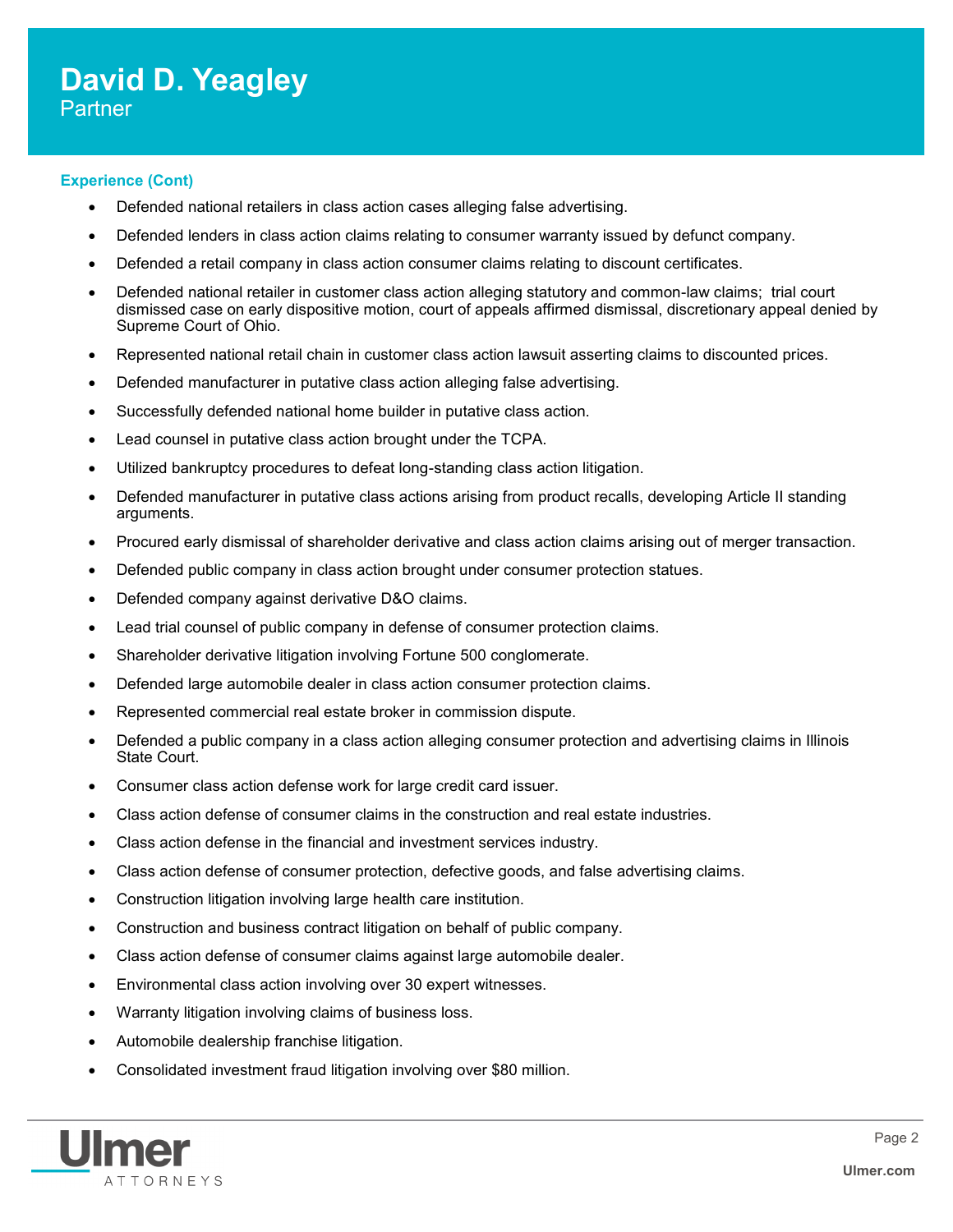# **David D. Yeagley** Partner

#### **Experience (Cont)**

- Defended national retailers in class action cases alleging false advertising.
- Defended lenders in class action claims relating to consumer warranty issued by defunct company.
- Defended a retail company in class action consumer claims relating to discount certificates.
- Defended national retailer in customer class action alleging statutory and common-law claims; trial court dismissed case on early dispositive motion, court of appeals affirmed dismissal, discretionary appeal denied by Supreme Court of Ohio.
- Represented national retail chain in customer class action lawsuit asserting claims to discounted prices.
- Defended manufacturer in putative class action alleging false advertising.
- Successfully defended national home builder in putative class action.
- Lead counsel in putative class action brought under the TCPA.
- Utilized bankruptcy procedures to defeat long-standing class action litigation.
- Defended manufacturer in putative class actions arising from product recalls, developing Article II standing arguments.
- Procured early dismissal of shareholder derivative and class action claims arising out of merger transaction.
- Defended public company in class action brought under consumer protection statues.
- Defended company against derivative D&O claims.
- Lead trial counsel of public company in defense of consumer protection claims.
- Shareholder derivative litigation involving Fortune 500 conglomerate.
- Defended large automobile dealer in class action consumer protection claims.
- Represented commercial real estate broker in commission dispute.
- Defended a public company in a class action alleging consumer protection and advertising claims in Illinois State Court.
- Consumer class action defense work for large credit card issuer.
- Class action defense of consumer claims in the construction and real estate industries.
- Class action defense in the financial and investment services industry.
- Class action defense of consumer protection, defective goods, and false advertising claims.
- Construction litigation involving large health care institution.
- Construction and business contract litigation on behalf of public company.
- Class action defense of consumer claims against large automobile dealer.
- Environmental class action involving over 30 expert witnesses.
- Warranty litigation involving claims of business loss.
- Automobile dealership franchise litigation.
- Consolidated investment fraud litigation involving over \$80 million.

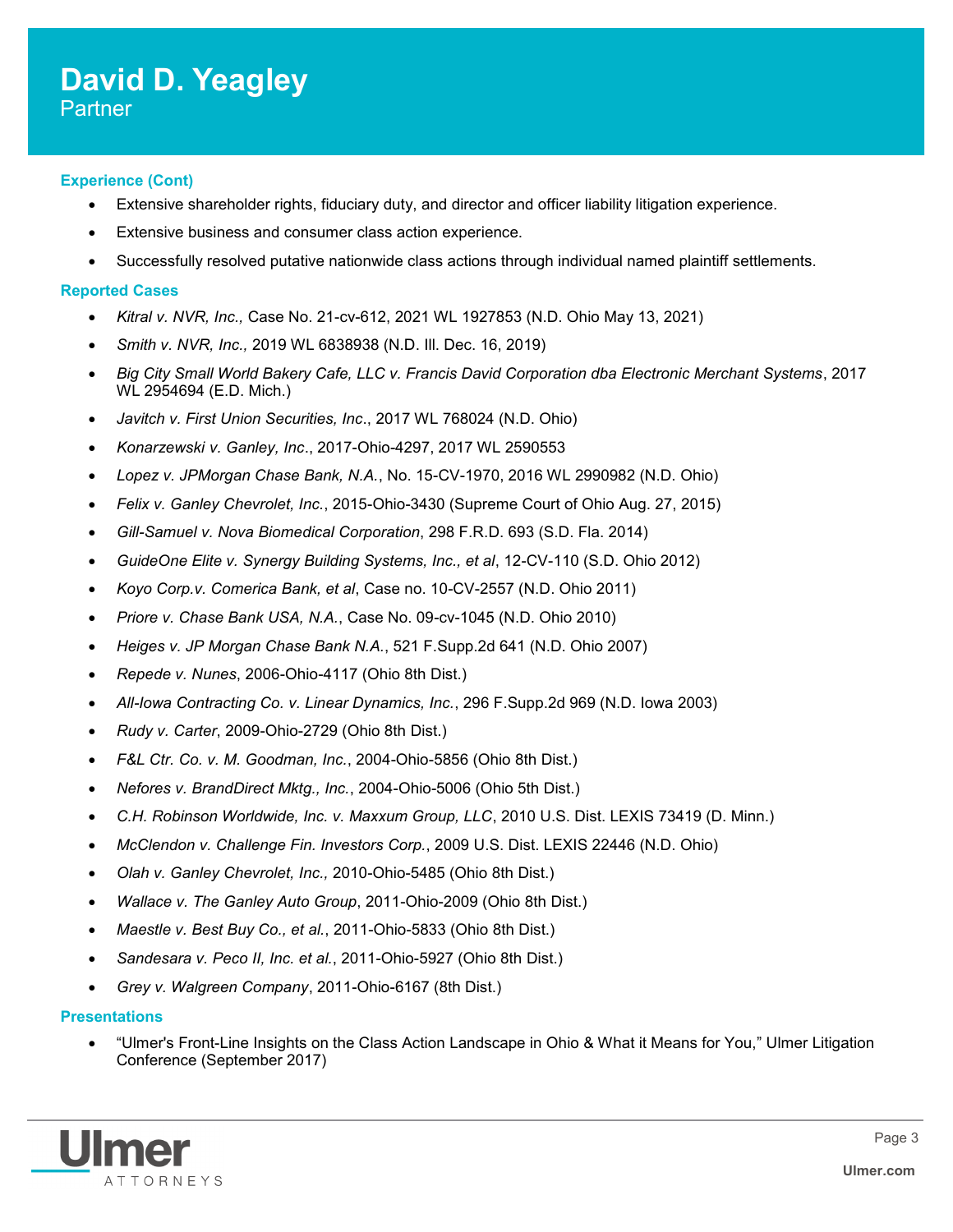### **David D. Yeagley** Partner

#### **Experience (Cont)**

- Extensive shareholder rights, fiduciary duty, and director and officer liability litigation experience.
- Extensive business and consumer class action experience.
- Successfully resolved putative nationwide class actions through individual named plaintiff settlements.

#### **Reported Cases**

- *Kitral v. NVR, Inc.,* Case No. 21-cv-612, 2021 WL 1927853 (N.D. Ohio May 13, 2021)
- *Smith v. NVR, Inc.,* 2019 WL 6838938 (N.D. Ill. Dec. 16, 2019)
- *Big City Small World Bakery Cafe, LLC v. Francis David Corporation dba Electronic Merchant Systems*, 2017 WL 2954694 (E.D. Mich.)
- *Javitch v. First Union Securities, Inc*., 2017 WL 768024 (N.D. Ohio)
- *Konarzewski v. Ganley, Inc*., 2017-Ohio-4297, 2017 WL 2590553
- *Lopez v. JPMorgan Chase Bank, N.A.*, No. 15-CV-1970, 2016 WL 2990982 (N.D. Ohio)
- *Felix v. Ganley Chevrolet, Inc.*, 2015-Ohio-3430 (Supreme Court of Ohio Aug. 27, 2015)
- *Gill-Samuel v. Nova Biomedical Corporation*, 298 F.R.D. 693 (S.D. Fla. 2014)
- *GuideOne Elite v. Synergy Building Systems, Inc., et al*, 12-CV-110 (S.D. Ohio 2012)
- *Koyo Corp.v. Comerica Bank, et al*, Case no. 10-CV-2557 (N.D. Ohio 2011)
- *Priore v. Chase Bank USA, N.A.*, Case No. 09-cv-1045 (N.D. Ohio 2010)
- *Heiges v. JP Morgan Chase Bank N.A.*, 521 F.Supp.2d 641 (N.D. Ohio 2007)
- *Repede v. Nunes*, 2006-Ohio-4117 (Ohio 8th Dist.)
- *All-Iowa Contracting Co. v. Linear Dynamics, Inc.*, 296 F.Supp.2d 969 (N.D. Iowa 2003)
- *Rudy v. Carter*, 2009-Ohio-2729 (Ohio 8th Dist.)
- *F&L Ctr. Co. v. M. Goodman, Inc.*, 2004-Ohio-5856 (Ohio 8th Dist.)
- *Nefores v. BrandDirect Mktg., Inc.*, 2004-Ohio-5006 (Ohio 5th Dist.)
- *C.H. Robinson Worldwide, Inc. v. Maxxum Group, LLC*, 2010 U.S. Dist. LEXIS 73419 (D. Minn.)
- *McClendon v. Challenge Fin. Investors Corp.*, 2009 U.S. Dist. LEXIS 22446 (N.D. Ohio)
- *Olah v. Ganley Chevrolet, Inc.,* 2010-Ohio-5485 (Ohio 8th Dist.)
- *Wallace v. The Ganley Auto Group*, 2011-Ohio-2009 (Ohio 8th Dist.)
- *Maestle v. Best Buy Co., et al.*, 2011-Ohio-5833 (Ohio 8th Dist.)
- *Sandesara v. Peco II, Inc. et al.*, 2011-Ohio-5927 (Ohio 8th Dist.)
- *Grey v. Walgreen Company*, 2011-Ohio-6167 (8th Dist.)

#### **Presentations**

 "Ulmer's Front-Line Insights on the Class Action Landscape in Ohio & What it Means for You," Ulmer Litigation Conference (September 2017)

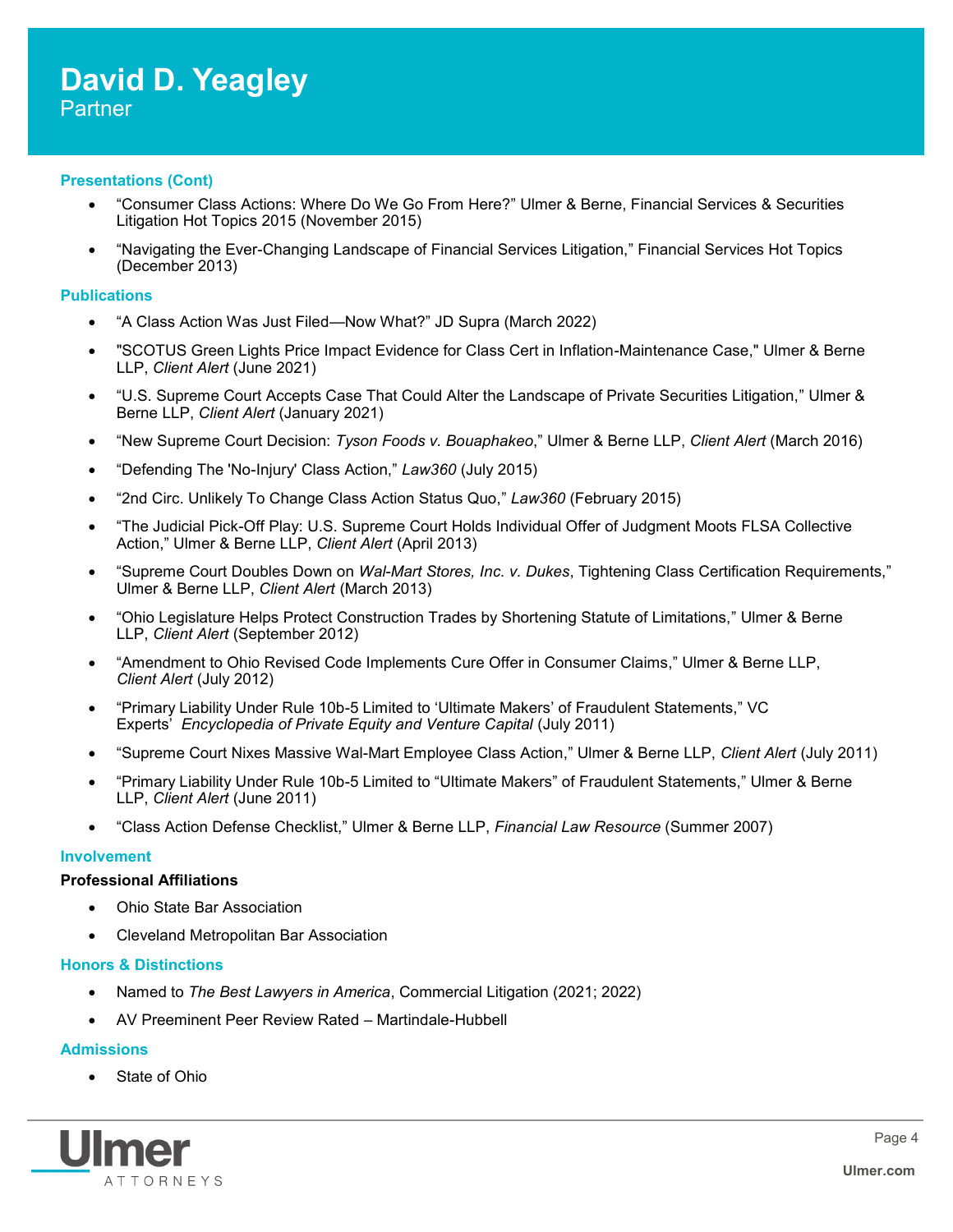#### **Presentations (Cont)**

- "Consumer Class Actions: Where Do We Go From Here?" Ulmer & Berne, Financial Services & Securities Litigation Hot Topics 2015 (November 2015)
- "Navigating the Ever-Changing Landscape of Financial Services Litigation," Financial Services Hot Topics (December 2013)

#### **Publications**

- "A Class Action Was Just Filed—Now What?" JD Supra (March 2022)
- "SCOTUS Green Lights Price Impact Evidence for Class Cert in Inflation-Maintenance Case," Ulmer & Berne LLP, *Client Alert* (June 2021)
- "U.S. Supreme Court Accepts Case That Could Alter the Landscape of Private Securities Litigation," Ulmer & Berne LLP, *Client Alert* (January 2021)
- "New Supreme Court Decision: *Tyson Foods v. Bouaphakeo*," Ulmer & Berne LLP, *Client Alert* (March 2016)
- "Defending The 'No-Injury' Class Action," *Law360* (July 2015)
- "2nd Circ. Unlikely To Change Class Action Status Quo," *Law360* (February 2015)
- "The Judicial Pick-Off Play: U.S. Supreme Court Holds Individual Offer of Judgment Moots FLSA Collective Action," Ulmer & Berne LLP, *Client Alert* (April 2013)
- "Supreme Court Doubles Down on *Wal-Mart Stores, Inc. v. Dukes*, Tightening Class Certification Requirements," Ulmer & Berne LLP, *Client Alert* (March 2013)
- "Ohio Legislature Helps Protect Construction Trades by Shortening Statute of Limitations," Ulmer & Berne LLP, *Client Alert* (September 2012)
- "Amendment to Ohio Revised Code Implements Cure Offer in Consumer Claims," Ulmer & Berne LLP, *Client Alert* (July 2012)
- "Primary Liability Under Rule 10b-5 Limited to 'Ultimate Makers' of Fraudulent Statements," VC Experts' *Encyclopedia of Private Equity and Venture Capital* (July 2011)
- "Supreme Court Nixes Massive Wal-Mart Employee Class Action," Ulmer & Berne LLP, *Client Alert* (July 2011)
- "Primary Liability Under Rule 10b-5 Limited to "Ultimate Makers" of Fraudulent Statements," Ulmer & Berne LLP, *Client Alert* (June 2011)
- "Class Action Defense Checklist," Ulmer & Berne LLP, *Financial Law Resource* (Summer 2007)

#### **Involvement**

#### **Professional Affiliations**

- Ohio State Bar Association
- Cleveland Metropolitan Bar Association

#### **Honors & Distinctions**

- Named to *The Best Lawyers in America*, Commercial Litigation (2021; 2022)
- AV Preeminent Peer Review Rated Martindale-Hubbell

#### **Admissions**

State of Ohio